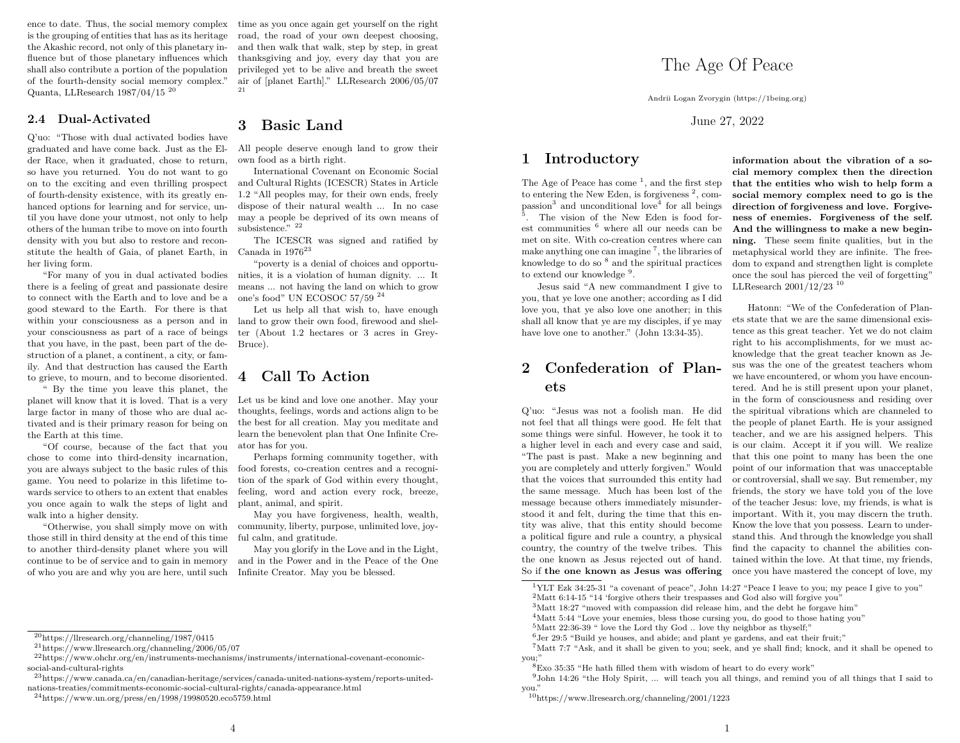ence to date. Thus, the social memory complex is the grouping of entities that has as its heritage the Akashic record, not only of this planetary influence but of those planetary influences which shall also contribute a portion of the population of the fourth-density social memory complex." Quanta, LLResearch  $1987/04/15$ <sup>20</sup>

### 2.4 Dual-Activated

O'uo: "Those with dual activated bodies have graduated and have come back. Just as the Elder Race, when it graduated, chose to return. so have you returned. You do not want to go on to the exciting and even thrilling prospect of fourth-density existence, with its greatly enhanced options for learning and for service, until vou have done vour utmost, not only to help others of the human tribe to move on into fourth density with you but also to restore and reconstitute the health of Gaia, of planet Earth, in her living form.

"For many of you in dual activated bodies" there is a feeling of great and passionate desire to connect with the Earth and to love and be a good steward to the Earth. For there is that within your consciousness as a person and in your consciousness as part of a race of beings that you have, in the past, been part of the destruction of a planet, a continent, a city, or family. And that destruction has caused the Earth to grieve, to mourn, and to become disoriented.

" By the time you leave this planet, the planet will know that it is loved. That is a very large factor in many of those who are dual activated and is their primary reason for being on the Earth at this time.

"Of course, because of the fact that you chose to come into third-density incarnation. you are always subject to the basic rules of this game. You need to polarize in this lifetime towards service to others to an extent that enables you once again to walk the steps of light and walk into a higher density.

"Otherwise, you shall simply move on with those still in third density at the end of this time to another third-density planet where you will continue to be of service and to gain in memory of who you are and why you are here, until such

time as you once again get yourself on the right road, the road of your own deepest choosing, and then walk that walk, step by step, in great thanksgiving and joy, every day that you are privileged yet to be alive and breath the sweet air of [planet Earth]." LLResearch 2006/05/07

#### **Basic Land**  $3<sup>1</sup>$

All people deserve enough land to grow their own food as a birth right.

International Covenant on Economic Social and Cultural Rights (ICESCR) States in Article 1.2 "All peoples may, for their own ends, freely dispose of their natural wealth ... In no case may a people be deprived of its own means of subsistence." $^{\rm 22}$ 

The ICESCR was signed and ratified by Canada in 1976 $^{23}$ 

"poverty is a denial of choices and opportunities, it is a violation of human dignity. ... It means ... not having the land on which to grow one's food" UN ECOSOC 57/59 $24$ 

Let us help all that wish to, have enough land to grow their own food, firewood and shelter (About 1.2 hectares or 3 acres in Grev-Bruce).

## 4 Call To Action

Let us be kind and love one another. May your thoughts, feelings, words and actions align to be the best for all creation. May you meditate and learn the benevolent plan that One Infinite Creator has for you.

Perhaps forming community together, with food forests, co-creation centres and a recognition of the spark of God within every thought. feeling, word and action every rock, breeze, plant, animal, and spirit.

May you have forgiveness, health, wealth, community, liberty, purpose, unlimited love, joyful calm, and gratitude.

May you glorify in the Love and in the Light. and in the Power and in the Peace of the One Infinite Creator. May you be blessed.

# The Age Of Peace

Andrii Logan Zvorygin (https://1being.org)

June 27, 2022

## 1 Introductory

The Age of Peace has come<sup> $1$ </sup>, and the first step to entering the New Eden, is forgiveness  $^2$ , compassion<sup>3</sup> and unconditional love<sup>4</sup> for all beings <sup>5</sup>. The vision of the New Eden is food forest communities  $^6$  where all our needs can be met on site. With co-creation centres where can make anything one can imagine  $7$ , the libraries of knowledge to do so <sup>8</sup> and the spiritual practices to extend our knowledge<sup>9</sup>.

Jesus said "A new commandment I give to you, that ye love one another; according as I did love you, that ye also love one another: in this shall all know that ye are my disciples, if ye may have love one to another." (John 13:34-35).

#### $2<sup>1</sup>$ Confederation of Planets

O'uo: "Jesus was not a foolish man. He did not feel that all things were good. He felt that some things were sinful. However, he took it to a higher level in each and every case and said, "The past is past. Make a new beginning and vou are completely and utterly forgiven." Would that the voices that surrounded this entity had the same message. Much has been lost of the message because others immediately misunderstood it and felt, during the time that this entity was alive, that this entity should become a political figure and rule a country, a physical country, the country of the twelve tribes. This the one known as Jesus rejected out of hand. So if the one known as Jesus was offering once you have mastered the concept of love, my

information about the vibration of a social memory complex then the direction that the entities who wish to help form a social memory complex need to go is the direction of forgiveness and love. Forgiveness of enemies. Forgiveness of the self. And the willingness to make a new beginning. These seem finite qualities, but in the metaphysical world they are infinite. The freedom to expand and strengthen light is complete once the soul has pierced the veil of forgetting' LLResearch  $2001/12/23$   $^{\rm 10}$ 

Hatonn: "We of the Confederation of Planets state that we are the same dimensional existence as this great teacher. Yet we do not claim right to his accomplishments, for we must acknowledge that the great teacher known as Jesus was the one of the greatest teachers whom we have encountered, or whom you have encountered. And he is still present upon your planet, in the form of consciousness and residing over the spiritual vibrations which are channeled to the people of planet Earth. He is your assigned teacher, and we are his assigned helpers. This is our claim. Accept it if you will. We realize that this one point to many has been the one point of our information that was unacceptable or controversial, shall we say. But remember, my friends, the story we have told you of the love of the teacher Jesus: love, my friends, is what is important. With it, you may discern the truth. Know the love that you possess. Learn to understand this. And through the knowledge you shall find the capacity to channel the abilities contained within the love. At that time, my friends.

 $^{20}$ https://llresearch.org/channeling/1987/0415

 $^{21}$ https://www.llresearch.org/channeling/2006/05/07

 $^{22}$ https://www.ohchr.org/en/instruments-mechanisms/instruments/international-covenant-economicsocial-and-cultural-rights

 $^{23}$ https://www.canada.ca/en/canadian-heritage/services/canada-united-nations-system/reports-unitednations-treaties/commitments-economic-social-cultural-rights/canada-appearance.html

 $^{24}$ https://www.un.org/press/en/1998/19980520.eco5759.html

<sup>&</sup>lt;sup>1</sup>YLT Ezk 34:25-31 "a covenant of peace", John 14:27 "Peace I leave to you; my peace I give to you"  $2$ Matt 6:14-15 "14 'forgive others their trespasses and God also will forgive you"

<sup>&</sup>lt;sup>3</sup>Matt 18:27 "moved with compassion did release him, and the debt he forgave him"

<sup>&</sup>lt;sup>4</sup>Matt 5:44 "Love your enemies, bless those cursing you, do good to those hating you"

 $5$ Matt 22:36-39 " love the Lord thy God  $\ldots$  love thy neighbor as thyself;"

 $6$ Jer 29:5 "Build ye houses, and abide; and plant ye gardens, and eat their fruit;"

<sup>&</sup>lt;sup>7</sup>Matt 7:7 "Ask, and it shall be given to you; seek, and ye shall find; knock, and it shall be opened to  $vou:$ "

 $8$ Exo 35:35 "He hath filled them with wisdom of heart to do every work"

<sup>&</sup>lt;sup>9</sup>John 14:26 "the Holy Spirit, ... will teach you all things, and remind you of all things that I said to you."

 $^{10}$ https://www.llresearch.org/channeling/2001/1223